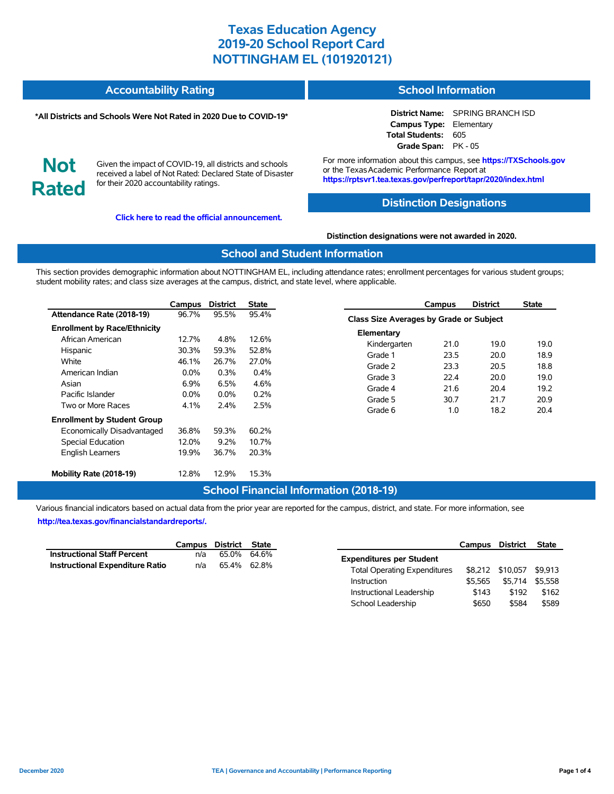| <b>Accountability Rating</b> | <b>School Information</b> |
|------------------------------|---------------------------|
|                              |                           |

#### **\*All Districts and Schools Were Not Rated in 2020 Due to COVID-19\***

### **District Name:** SPRING BRANCH ISD **Campus Type:** Elementary **Total Students:** 605

**Not Rated**

Given the impact of COVID-19, all districts and schools received a label of Not Rated: Declared State of Disaster for their 2020 accountability ratings.

**Click here to read the official announcement.**

For more information about this campus, see **https://TXSchools.gov** or the Texas Academic Performance Report at **https://rptsvr1.tea.texas.gov/perfreport/tapr/2020/index.html**

**Grade Span:** PK - 05

### **Distinction Designations**

**Distinction designations were not awarded in 2020.**

### **School and Student Information**

This section provides demographic information about NOTTINGHAM EL, including attendance rates; enrollment percentages for various student groups; student mobility rates; and class size averages at the campus, district, and state level, where applicable.

|                                     | Campus  | <b>District</b> | State   |
|-------------------------------------|---------|-----------------|---------|
| Attendance Rate (2018-19)           | 96.7%   | 95.5%           | 95.4%   |
| <b>Enrollment by Race/Ethnicity</b> |         |                 |         |
| African American                    | 12.7%   | 4.8%            | 12.6%   |
| Hispanic                            | 30.3%   | 59.3%           | 52.8%   |
| White                               | 46.1%   | 26.7%           | 27.0%   |
| American Indian                     | $0.0\%$ | $0.3\%$         | $0.4\%$ |
| Asian                               | 6.9%    | 6.5%            | 4.6%    |
| Pacific Islander                    | $0.0\%$ | $0.0\%$         | 0.2%    |
| Two or More Races                   | 4.1%    | 2.4%            | 2.5%    |
| <b>Enrollment by Student Group</b>  |         |                 |         |
| Economically Disadvantaged          | 36.8%   | 59.3%           | 60.2%   |
| <b>Special Education</b>            | 12.0%   | 9.2%            | 10.7%   |
| <b>English Learners</b>             | 19.9%   | 36.7%           | 20.3%   |
| Mobility Rate (2018-19)             | 12.8%   | 12.9%           | 15.3%   |

#### **Campus District State Class Size Averages by Grade or Subject Elementary** Kindergarten 21.0 19.0 19.0 Grade 1 23.5 20.0 18.9 Grade 2 23.3 20.5 18.8 Grade 3 22.4 20.0 19.0 Grade 4 21.6 20.4 19.2 Grade 5 30.7 21.7 20.9 Grade 6 1.0 18.2 20.4

## **School Financial Information (2018-19)**

Various financial indicators based on actual data from the prior year are reported for the campus, district, and state. For more information, see **http://tea.texas.gov/financialstandardreports/.**

|                                        | Campus District State |             |  |
|----------------------------------------|-----------------------|-------------|--|
| <b>Instructional Staff Percent</b>     | n/a                   | 65.0% 64.6% |  |
| <b>Instructional Expenditure Ratio</b> | n/a                   | 65.4% 62.8% |  |

|                                     | Campus District |                  | <b>State</b> |
|-------------------------------------|-----------------|------------------|--------------|
| <b>Expenditures per Student</b>     |                 |                  |              |
| <b>Total Operating Expenditures</b> |                 | \$8.212 \$10.057 | \$9.913      |
| Instruction                         | \$5.565         | \$5.714          | \$5.558      |
| Instructional Leadership            | \$143           | \$192            | \$162        |
| School Leadership                   | \$650           | \$584            | \$589        |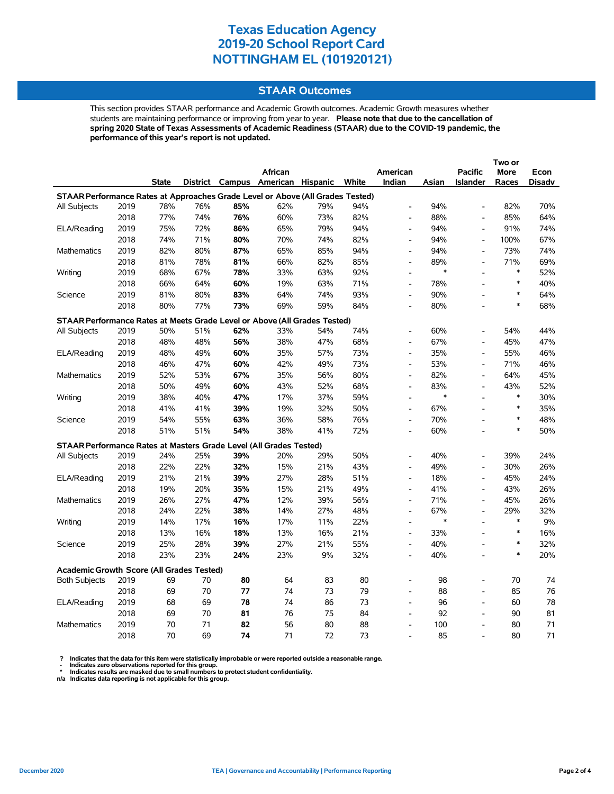### **STAAR Outcomes**

This section provides STAAR performance and Academic Growth outcomes. Academic Growth measures whether students are maintaining performance or improving from year to year. **Please note that due to the cancellation of spring 2020 State of Texas Assessments of Academic Readiness (STAAR) due to the COVID-19 pandemic, the performance of this year's report is not updated.**

|                                                                                |      |       |     |     | African                           |     |       | American                     |               | <b>Pacific</b>               | More          | Econ   |
|--------------------------------------------------------------------------------|------|-------|-----|-----|-----------------------------------|-----|-------|------------------------------|---------------|------------------------------|---------------|--------|
|                                                                                |      | State |     |     | District Campus American Hispanic |     | White | Indian                       | Asian         | <b>Islander</b>              | Races         | Disadv |
| STAAR Performance Rates at Approaches Grade Level or Above (All Grades Tested) |      |       |     |     |                                   |     |       |                              |               |                              |               |        |
| All Subjects                                                                   | 2019 | 78%   | 76% | 85% | 62%                               | 79% | 94%   | $\overline{a}$               | 94%           | $\frac{1}{2}$                | 82%           | 70%    |
|                                                                                | 2018 | 77%   | 74% | 76% | 60%                               | 73% | 82%   | $\overline{\phantom{a}}$     | 88%           | $\qquad \qquad \blacksquare$ | 85%           | 64%    |
| ELA/Reading                                                                    | 2019 | 75%   | 72% | 86% | 65%                               | 79% | 94%   | $\overline{a}$               | 94%           | L,                           | 91%           | 74%    |
|                                                                                | 2018 | 74%   | 71% | 80% | 70%                               | 74% | 82%   | $\overline{\phantom{a}}$     | 94%           | $\frac{1}{2}$                | 100%          | 67%    |
| Mathematics                                                                    | 2019 | 82%   | 80% | 87% | 65%                               | 85% | 94%   | $\blacksquare$               | 94%           | $\qquad \qquad \blacksquare$ | 73%           | 74%    |
|                                                                                | 2018 | 81%   | 78% | 81% | 66%                               | 82% | 85%   | $\overline{a}$               | 89%           | $\overline{\phantom{a}}$     | 71%           | 69%    |
| Writing                                                                        | 2019 | 68%   | 67% | 78% | 33%                               | 63% | 92%   | $\overline{a}$               | $\ast$        | $\overline{a}$               | $\ast$        | 52%    |
|                                                                                | 2018 | 66%   | 64% | 60% | 19%                               | 63% | 71%   | $\overline{a}$               | 78%           | $\overline{a}$               | $\ast$        | 40%    |
| Science                                                                        | 2019 | 81%   | 80% | 83% | 64%                               | 74% | 93%   | $\overline{a}$               | 90%           |                              | $\ast$        | 64%    |
|                                                                                | 2018 | 80%   | 77% | 73% | 69%                               | 59% | 84%   | $\overline{a}$               | 80%           |                              | $\ast$        | 68%    |
| STAAR Performance Rates at Meets Grade Level or Above (All Grades Tested)      |      |       |     |     |                                   |     |       |                              |               |                              |               |        |
| All Subjects                                                                   | 2019 | 50%   | 51% | 62% | 33%                               | 54% | 74%   | $\overline{a}$               | 60%           |                              | 54%           | 44%    |
|                                                                                | 2018 | 48%   | 48% | 56% | 38%                               | 47% | 68%   | $\overline{\phantom{a}}$     | 67%           | $\overline{a}$               | 45%           | 47%    |
| ELA/Reading                                                                    | 2019 | 48%   | 49% | 60% | 35%                               | 57% | 73%   | $\overline{\phantom{a}}$     | 35%           | $\qquad \qquad \blacksquare$ | 55%           | 46%    |
|                                                                                | 2018 | 46%   | 47% | 60% | 42%                               | 49% | 73%   | $\overline{a}$               | 53%           | $\overline{a}$               | 71%           | 46%    |
| Mathematics                                                                    | 2019 | 52%   | 53% | 67% | 35%                               | 56% | 80%   | $\overline{\phantom{a}}$     | 82%           | $\overline{a}$               | 64%           | 45%    |
|                                                                                | 2018 | 50%   | 49% | 60% | 43%                               | 52% | 68%   | $\overline{\phantom{a}}$     | 83%           | $\overline{\phantom{a}}$     | 43%           | 52%    |
| Writing                                                                        | 2019 | 38%   | 40% | 47% | 17%                               | 37% | 59%   | $\overline{a}$               | $\ast$        | L,                           | $\ast$        | 30%    |
|                                                                                | 2018 | 41%   | 41% | 39% | 19%                               | 32% | 50%   | $\overline{a}$               | 67%           | L,                           | $\ast$        | 35%    |
| Science                                                                        | 2019 | 54%   | 55% | 63% | 36%                               | 58% | 76%   | $\overline{\phantom{a}}$     | 70%           | $\overline{a}$               | $\ast$        | 48%    |
|                                                                                | 2018 | 51%   | 51% | 54% | 38%                               | 41% | 72%   | $\qquad \qquad \blacksquare$ | 60%           | $\overline{a}$               | $\ast$        | 50%    |
|                                                                                |      |       |     |     |                                   |     |       |                              |               |                              |               |        |
| STAAR Performance Rates at Masters Grade Level (All Grades Tested)             |      |       |     |     |                                   |     |       |                              |               |                              |               |        |
| All Subjects                                                                   | 2019 | 24%   | 25% | 39% | 20%                               | 29% | 50%   | $\overline{\phantom{a}}$     | 40%           | $\qquad \qquad \blacksquare$ | 39%           | 24%    |
|                                                                                | 2018 | 22%   | 22% | 32% | 15%                               | 21% | 43%   | $\overline{a}$               | 49%           | L,                           | 30%           | 26%    |
| ELA/Reading                                                                    | 2019 | 21%   | 21% | 39% | 27%                               | 28% | 51%   | $\blacksquare$               | 18%           | $\overline{\phantom{a}}$     | 45%           | 24%    |
|                                                                                | 2018 | 19%   | 20% | 35% | 15%                               | 21% | 49%   | $\overline{\phantom{a}}$     | 41%           | $\overline{\phantom{a}}$     | 43%           | 26%    |
| Mathematics                                                                    | 2019 | 26%   | 27% | 47% | 12%                               | 39% | 56%   | $\overline{a}$               | 71%           | L,                           | 45%           | 26%    |
|                                                                                | 2018 | 24%   | 22% | 38% | 14%                               | 27% | 48%   | $\overline{\phantom{a}}$     | 67%<br>$\ast$ | $\overline{a}$               | 29%<br>$\ast$ | 32%    |
| Writing                                                                        | 2019 | 14%   | 17% | 16% | 17%                               | 11% | 22%   | $\overline{\phantom{a}}$     |               | $\overline{a}$               | $\ast$        | 9%     |
|                                                                                | 2018 | 13%   | 16% | 18% | 13%                               | 16% | 21%   | $\overline{\phantom{a}}$     | 33%           | $\blacksquare$               | $\ast$        | 16%    |
| Science                                                                        | 2019 | 25%   | 28% | 39% | 27%                               | 21% | 55%   | $\overline{a}$               | 40%           | $\overline{a}$               | $\ast$        | 32%    |
|                                                                                | 2018 | 23%   | 23% | 24% | 23%                               | 9%  | 32%   | $\overline{a}$               | 40%           | $\overline{a}$               |               | 20%    |
| <b>Academic Growth Score (All Grades Tested)</b>                               |      |       |     |     |                                   |     |       |                              |               |                              |               |        |
| <b>Both Subjects</b>                                                           | 2019 | 69    | 70  | 80  | 64                                | 83  | 80    | $\overline{a}$               | 98            | $\overline{a}$               | 70            | 74     |
|                                                                                | 2018 | 69    | 70  | 77  | 74                                | 73  | 79    | $\overline{\phantom{a}}$     | 88            | $\frac{1}{2}$                | 85            | 76     |
| ELA/Reading                                                                    | 2019 | 68    | 69  | 78  | 74                                | 86  | 73    | $\overline{a}$               | 96            | L,                           | 60            | 78     |
|                                                                                | 2018 | 69    | 70  | 81  | 76                                | 75  | 84    | $\overline{a}$               | 92            | $\overline{a}$               | 90            | 81     |
| <b>Mathematics</b>                                                             | 2019 | 70    | 71  | 82  | 56                                | 80  | 88    | $\overline{a}$               | 100           | $\overline{a}$               | 80            | 71     |
|                                                                                | 2018 | 70    | 69  | 74  | 71                                | 72  | 73    |                              | 85            |                              | 80            | 71     |

? Indicates that the data for this item were statistically improbable or were reported outside a reasonable range.<br>- Indicates zero observations reported for this group.<br>\* Indicates results are masked due to small numbers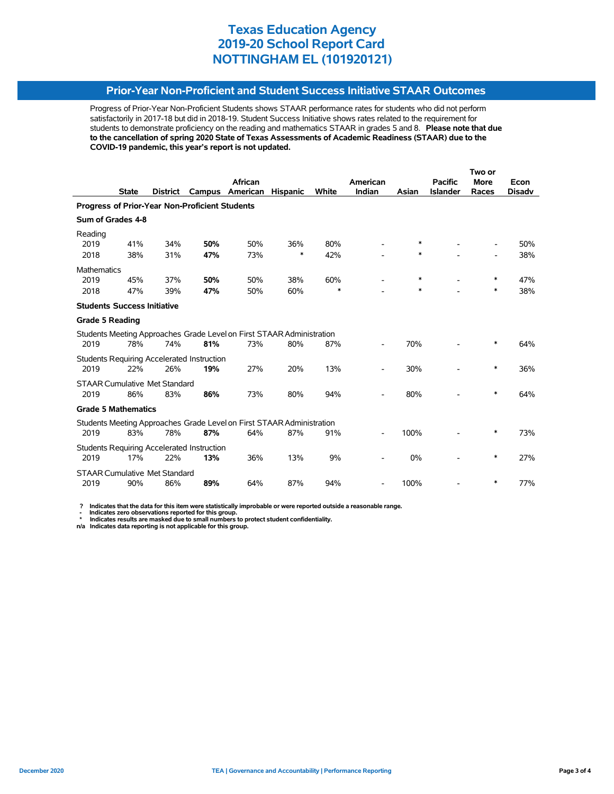### **Prior-Year Non-Proficient and Student Success Initiative STAAR Outcomes**

Progress of Prior-Year Non-Proficient Students shows STAAR performance rates for students who did not perform satisfactorily in 2017-18 but did in 2018-19. Student Success Initiative shows rates related to the requirement for students to demonstrate proficiency on the reading and mathematics STAAR in grades 5 and 8. **Please note that due to the cancellation of spring 2020 State of Texas Assessments of Academic Readiness (STAAR) due to the COVID-19 pandemic, this year's report is not updated.**

|                                                |              |                                      |                                                   |                                                                       |                 |        | Two or                   |       |                 |             |               |
|------------------------------------------------|--------------|--------------------------------------|---------------------------------------------------|-----------------------------------------------------------------------|-----------------|--------|--------------------------|-------|-----------------|-------------|---------------|
|                                                |              |                                      |                                                   | African                                                               |                 |        | American                 |       | <b>Pacific</b>  | <b>More</b> | Econ          |
|                                                | <b>State</b> | <b>District</b>                      | Campus                                            | American                                                              | <b>Hispanic</b> | White  | Indian                   | Asian | <b>Islander</b> | Races       | <b>Disadv</b> |
| Progress of Prior-Year Non-Proficient Students |              |                                      |                                                   |                                                                       |                 |        |                          |       |                 |             |               |
| Sum of Grades 4-8                              |              |                                      |                                                   |                                                                       |                 |        |                          |       |                 |             |               |
| Reading                                        |              |                                      |                                                   |                                                                       |                 |        |                          |       |                 |             |               |
| 2019                                           | 41%          | 34%                                  | 50%                                               | 50%                                                                   | 36%             | 80%    |                          | *     |                 |             | 50%           |
| 2018                                           | 38%          | 31%                                  | 47%                                               | 73%                                                                   | ∗               | 42%    |                          | *     |                 |             | 38%           |
| <b>Mathematics</b>                             |              |                                      |                                                   |                                                                       |                 |        |                          |       |                 |             |               |
| 2019                                           | 45%          | 37%                                  | 50%                                               | 50%                                                                   | 38%             | 60%    |                          | *     |                 | $\ast$      | 47%           |
| 2018                                           | 47%          | 39%                                  | 47%                                               | 50%                                                                   | 60%             | $\ast$ |                          | *     |                 | *           | 38%           |
| <b>Students Success Initiative</b>             |              |                                      |                                                   |                                                                       |                 |        |                          |       |                 |             |               |
| <b>Grade 5 Reading</b>                         |              |                                      |                                                   |                                                                       |                 |        |                          |       |                 |             |               |
|                                                |              |                                      |                                                   | Students Meeting Approaches Grade Level on First STAAR Administration |                 |        |                          |       |                 |             |               |
| 2019                                           | 78%          | 74%                                  | 81%                                               | 73%                                                                   | 80%             | 87%    |                          | 70%   |                 | ∗           | 64%           |
|                                                |              |                                      | Students Requiring Accelerated Instruction        |                                                                       |                 |        |                          |       |                 |             |               |
| 2019                                           | 22%          | 26%                                  | 19%                                               | 27%                                                                   | 20%             | 13%    |                          | 30%   |                 | ∗           | 36%           |
|                                                |              | <b>STAAR Cumulative Met Standard</b> |                                                   |                                                                       |                 |        |                          |       |                 |             |               |
| 2019                                           | 86%          | 83%                                  | 86%                                               | 73%                                                                   | 80%             | 94%    |                          | 80%   |                 | *           | 64%           |
| <b>Grade 5 Mathematics</b>                     |              |                                      |                                                   |                                                                       |                 |        |                          |       |                 |             |               |
|                                                |              |                                      |                                                   | Students Meeting Approaches Grade Level on First STAAR Administration |                 |        |                          |       |                 |             |               |
| 2019                                           | 83%          | 78%                                  | 87%                                               | 64%                                                                   | 87%             | 91%    |                          | 100%  |                 | ∗           | 73%           |
|                                                |              |                                      | <b>Students Requiring Accelerated Instruction</b> |                                                                       |                 |        |                          |       |                 |             |               |
| 2019                                           | 17%          | 22%                                  | 13%                                               | 36%                                                                   | 13%             | 9%     |                          | 0%    |                 | ∗           | 27%           |
|                                                |              | <b>STAAR Cumulative Met Standard</b> |                                                   |                                                                       |                 |        |                          |       |                 |             |               |
| 2019                                           | 90%          | 86%                                  | 89%                                               | 64%                                                                   | 87%             | 94%    | $\overline{\phantom{a}}$ | 100%  |                 | ∗           | 77%           |

 **? Indicates that the data for this item were statistically improbable or were reported outside a reasonable range.**

 **- Indicates zero observations reported for this group. \* Indicates results are masked due to small numbers to protect student confidentiality.**

**n/a Indicates data reporting is not applicable for this group.**